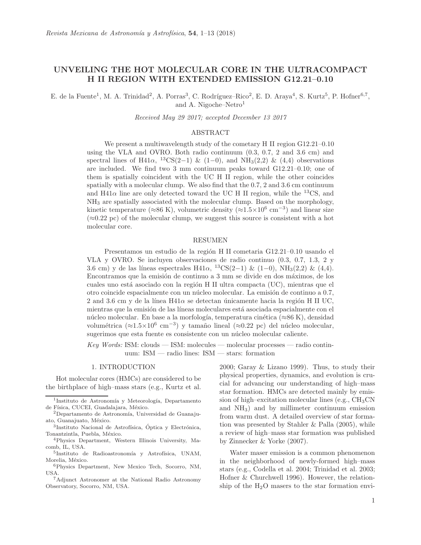# UNVEILING THE HOT MOLECULAR CORE IN THE ULTRACOMPACT H II REGION WITH EXTENDED EMISSION G12.21–0.10

E. de la Fuente<sup>1</sup>, M. A. Trinidad<sup>2</sup>, A. Porras<sup>3</sup>, C. Rodríguez–Rico<sup>2</sup>, E. D. Araya<sup>4</sup>, S. Kurtz<sup>5</sup>, P. Hofner<sup>6,7</sup>, and A. Nigoche–Netro<sup>1</sup>

*Received May 29 2017; accepted December 13 2017*

### ABSTRACT

We present a multiwavelength study of the cometary H II region G12.21–0.10 using the VLA and OVRO. Both radio continuum (0.3, 0.7, 2 and 3.6 cm) and spectral lines of H41 $\alpha$ , <sup>13</sup>CS(2-1) & (1-0), and NH<sub>3</sub>(2,2) & (4,4) observations are included. We find two 3 mm continuum peaks toward G12.21–0.10; one of them is spatially coincident with the UC H II region, while the other coincides spatially with a molecular clump. We also find that the 0.7, 2 and 3.6 cm continuum and H41 $\alpha$  line are only detected toward the UC H II region, while the <sup>13</sup>CS, and NH<sup>3</sup> are spatially associated with the molecular clump. Based on the morphology, kinetic temperature ( $\approx 86$  K), volumetric density ( $\approx 1.5 \times 10^6$  cm<sup>-3</sup>) and linear size  $(\approx 0.22 \text{ pc})$  of the molecular clump, we suggest this source is consistent with a hot molecular core.

### RESUMEN

Presentamos un estudio de la región H II cometaria G12.21–0.10 usando el VLA y OVRO. Se incluyen observaciones de radio continuo (0.3, 0.7, 1.3, 2 y 3.6 cm) y de las líneas espectrales H41 $\alpha$ , <sup>13</sup>CS(2-1) & (1-0), NH<sub>3</sub>(2,2) & (4,4). Encontramos que la emisión de continuo a 3 mm se divide en dos máximos, de los cuales uno está asociado con la región  $H$  II ultra compacta (UC), mientras que el otro coincide espacialmente con un núcleo molecular. La emisión de continuo a 0.7, 2 and 3.6 cm y de la línea H41 $\alpha$  se detectan únicamente hacia la región H II UC, mientras que la emisión de las líneas moleculares está asociada espacialmente con el núcleo molecular. En base a la morfología, temperatura cinética ( $\approx 86 \text{ K}$ ), densidad volumétrica (≈1.5×10<sup>6</sup> cm<sup>-3</sup>) y tamaño lineal (≈0.22 pc) del núcleo molecular, sugerimos que esta fuente es consistente con un núcleo molecular caliente.

*Key Words:* ISM: clouds — ISM: molecules — molecular processes — radio continuum: ISM — radio lines: ISM — stars: formation

### 1. INTRODUCTION

Hot molecular cores (HMCs) are considered to be the birthplace of high–mass stars (e.g., Kurtz et al. 2000; Garay & Lizano 1999). Thus, to study their physical properties, dynamics, and evolution is crucial for advancing our understanding of high–mass star formation. HMCs are detected mainly by emission of high–excitation molecular lines (e.g.,  $CH<sub>3</sub>CN$ ) and NH3) and by millimeter continuum emission from warm dust. A detailed overview of star formation was presented by Stahler & Palla (2005), while a review of high–mass star formation was published by Zinnecker & Yorke (2007).

Water maser emission is a common phenomenon in the neighborhood of newly-formed high–mass stars (e.g., Codella et al. 2004; Trinidad et al. 2003; Hofner & Churchwell 1996). However, the relationship of the  $H_2O$  masers to the star formation envi-

<sup>&</sup>lt;sup>1</sup>Instituto de Astronomía y Meteorología, Departamento de Física, CUCEI, Guadalajara, México.

 $2$ Departamento de Astronomía, Universidad de Guanajuato, Guanajuato, México.

<sup>&</sup>lt;sup>3</sup>Instituto Nacional de Astrofísica, Óptica y Electrónica, Tonantzintla, Puebla, México.

<sup>4</sup>Physics Department, Western Illinois University, Macomb, IL, USA.

<sup>&</sup>lt;sup>5</sup>Instituto de Radioastronomía y Astrofísica, UNAM, Morelia, México.

<sup>6</sup>Physics Department, New Mexico Tech, Socorro, NM, USA.

<sup>7</sup>Adjunct Astronomer at the National Radio Astronomy Observatory, Socorro, NM, USA.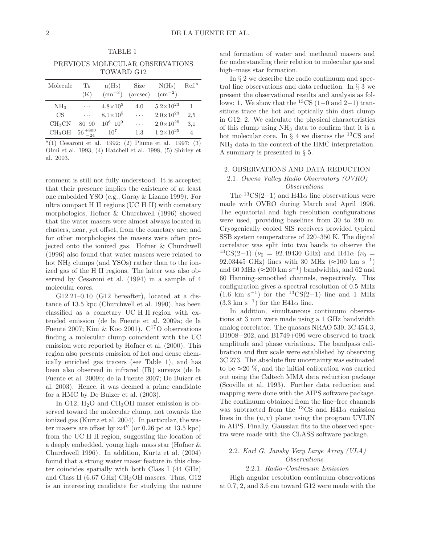PREVIOUS MOLECULAR OBSERVATIONS TOWARD G12

TABLE 1

| Molecule           | $T_{k}$<br>(K)    | $n(H_2)$<br>$\rm (cm^{-3})$ | Size<br>$(\text{arcsec})$ | $N(H_2)$<br>$\rm (cm^{-2})$ | Ref. <sup>a</sup> |
|--------------------|-------------------|-----------------------------|---------------------------|-----------------------------|-------------------|
| NH <sub>3</sub>    | $\cdots$          | $4.8 \times 10^{5}$         | 4.0                       | $5.2\times10^{23}$          | 1                 |
| CS                 | $\cdots$          | $8.1\times10^5$             | .                         | $2.0\times10^{23}$          | 2.5               |
| $CH_3CN$           | $80 - 90$         | $10^6 - 10^9$               | .                         | $2.0\times10^{25}$          | 3.1               |
| CH <sub>3</sub> OH | $56^{+800}_{-24}$ | 10 <sup>7</sup>             | 1.3                       | $1.2\times10^{25}$          | 4                 |

 $a(1)$  Cesaroni et al. 1992; (2) Plume et al. 1997; (3) Olmi et al. 1993; (4) Hatchell et al. 1998, (5) Shirley et al. 2003.

ronment is still not fully understood. It is accepted that their presence implies the existence of at least one embedded YSO (e.g., Garay & Lizano 1999). For ultra compact H II regions (UC H II) with cometary morphologies, Hofner & Churchwell (1996) showed that the water masers were almost always located in clusters, near, yet offset, from the cometary arc; and for other morphologies the masers were often projected onto the ionized gas. Hofner & Churchwell (1996) also found that water masers were related to hot NH<sub>3</sub> clumps (and YSOs) rather than to the ionized gas of the H II regions. The latter was also observed by Cesaroni et al. (1994) in a sample of 4 molecular cores.

G12.21–0.10 (G12 hereafter), located at a distance of 13.5 kpc (Churchwell et al. 1990), has been classified as a cometary UC H II region with extended emission (de la Fuente et al. 2009a; de la Fuente 2007; Kim & Koo 2001).  $C^{17}O$  observations finding a molecular clump coincident with the UC emission were reported by Hofner et al. (2000). This region also presents emission of hot and dense chemically enriched gas tracers (see Table 1), and has been also observed in infrared (IR) surveys (de la Fuente et al. 2009b; de la Fuente 2007; De Buizer et al. 2003). Hence, it was deemed a prime candidate for a HMC by De Buizer et al. (2003).

In G12,  $H<sub>2</sub>O$  and CH<sub>3</sub>OH maser emission is observed toward the molecular clump, not towards the ionized gas (Kurtz et al. 2004). In particular, the water masers are offset by  $\approx 4''$  (or 0.26 pc at 13.5 kpc) from the UC H II region, suggesting the location of a deeply embedded, young high–mass star (Hofner & Churchwell 1996). In addition, Kurtz et al. (2004) found that a strong water maser feature in this cluster coincides spatially with both Class I (44 GHz) and Class II (6.67 GHz) CH3OH masers. Thus, G12 is an interesting candidate for studying the nature

and formation of water and methanol masers and for understanding their relation to molecular gas and high–mass star formation.

In § 2 we describe the radio continuum and spectral line observations and data reduction. In § 3 we present the observational results and analysis as follows: 1. We show that the <sup>13</sup>CS (1–0 and 2–1) transitions trace the hot and optically thin dust clump in G12; 2. We calculate the physical characteristics of this clump using NH<sup>3</sup> data to confirm that it is a hot molecular core. In  $\S 4$  we discuss the <sup>13</sup>CS and NH<sup>3</sup> data in the context of the HMC interpretation. A summary is presented in § 5.

## 2. OBSERVATIONS AND DATA REDUCTION 2.1*. Owens Valley Radio Observatory (OVRO) Observations*

The  ${}^{13}CS(2-1)$  and H41 $\alpha$  line observations were made with OVRO during March and April 1996. The equatorial and high resolution configurations were used, providing baselines from 30 to 240 m. Cryogenically cooled SIS receivers provided typical SSB system temperatures of 220–350 K. The digital correlator was split into two bands to observe the  $^{13}CS(2-1)$  ( $\nu_0 = 92.49430 \text{ GHz}$ ) and H41 $\alpha$  ( $\nu_0 =$ 92.03445 GHz) lines with 30 MHz  $(\approx 100 \text{ km s}^{-1})$ and 60 MHz ( $\approx$ 200 km s<sup>-1</sup>) bandwidths, and 62 and 60 Hanning–smoothed channels, respectively. This configuration gives a spectral resolution of 0.5 MHz  $(1.6 \text{ km s}^{-1})$  for the <sup>13</sup>CS(2-1) line and 1 MHz  $(3.3 \text{ km s}^{-1})$  for the H41 $\alpha$  line.

In addition, simultaneous continuum observations at 3 mm were made using a 1 GHz bandwidth analog correlator. The quasars NRAO 530, 3C 454.3, B1908−202, and B1749+096 were observed to track amplitude and phase variations. The bandpass calibration and flux scale were established by observing 3C 273. The absolute flux uncertainty was estimated to be  $\approx$ 20 %, and the initial calibration was carried out using the Caltech MMA data reduction package (Scoville et al. 1993). Further data reduction and mapping were done with the AIPS software package. The continuum obtained from the line–free channels was subtracted from the <sup>13</sup>CS and H41 $\alpha$  emission lines in the  $(u, v)$  plane using the program UVLIN in AIPS. Finally, Gaussian fits to the observed spectra were made with the CLASS software package.

### 2.2*. Karl G. Jansky Very Large Array (VLA) Observations*

### 2.2.1*. Radio–Continuum Emission*

High angular resolution continuum observations at 0.7, 2, and 3.6 cm toward G12 were made with the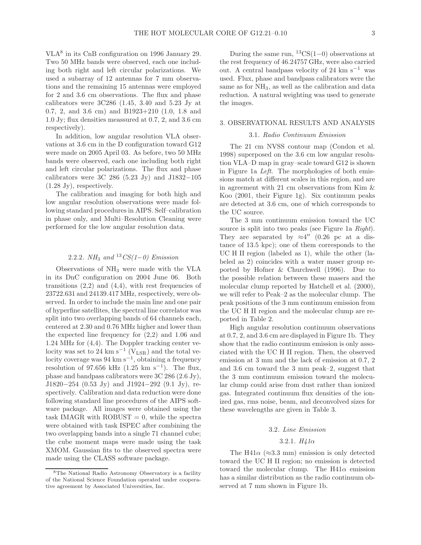VLA<sup>8</sup> in its CnB configuration on 1996 January 29. Two 50 MHz bands were observed, each one including both right and left circular polarizations. We used a subarray of 12 antennas for 7 mm observations and the remaining 15 antennas were employed for 2 and 3.6 cm observations. The flux and phase calibrators were  $3C286$  (1.45, 3.40 and 5.23 Jy at 0.7, 2, and 3.6 cm) and B1923+210 (1.0, 1.8 and 1.0 Jy; flux densities meassured at 0.7, 2, and 3.6 cm respectively).

In addition, low angular resolution VLA observations at 3.6 cm in the D configuration toward G12 were made on 2005 April 03. As before, two 50 MHz bands were observed, each one including both right and left circular polarizations. The flux and phase calibrators were 3C 286 (5.23 Jy) and J1832−105 (1.28 Jy), respectively.

The calibration and imaging for both high and low angular resolution observations were made following standard procedures in AIPS. Self–calibration in phase only, and Multi–Resolution Cleaning were performed for the low angular resolution data.

### 2.2.2*. NH*<sup>3</sup> *and* <sup>13</sup>*CS(1*−*0) Emission*

Observations of NH<sup>3</sup> were made with the VLA in its DnC configuration on 2004 June 06. Both transitions  $(2,2)$  and  $(4,4)$ , with rest frequencies of 23722.631 and 24139.417 MHz, respectively, were observed. In order to include the main line and one pair of hyperfine satellites, the spectral line correlator was split into two overlapping bands of 64 channels each, centered at 2.30 and 0.76 MHz higher and lower than the expected line frequency for (2,2) and 1.06 and 1.24 MHz for (4,4). The Doppler tracking center velocity was set to 24 km s<sup>-1</sup> ( $V_{LSR}$ ) and the total velocity coverage was 94 km s<sup>−</sup><sup>1</sup> , obtaining a frequency resolution of 97.656 kHz  $(1.25 \text{ km s}^{-1})$ . The flux, phase and bandpass calibrators were 3C 286 (2.6 Jy), J1820−254 (0.53 Jy) and J1924−292 (9.1 Jy), respectively. Calibration and data reduction were done following standard line procedures of the AIPS software package. All images were obtained using the task IMAGR with  $ROBUST = 0$ , while the spectra were obtained with task ISPEC after combining the two overlapping bands into a single 71 channel cube; the cube moment maps were made using the task XMOM. Gaussian fits to the observed spectra were made using the CLASS software package.

During the same run,  ${}^{13}CS(1-0)$  observations at the rest frequency of 46.24757 GHz, were also carried out. A central bandpass velocity of 24 km s<sup> $-1$ </sup> was used. Flux, phase and bandpass calibrators were the same as for  $NH_3$ , as well as the calibration and data reduction. A natural weighting was used to generate the images.

#### 3. OBSERVATIONAL RESULTS AND ANALYSIS

### 3.1*. Radio Continuum Emission*

The 21 cm NVSS contour map (Condon et al. 1998) superposed on the 3.6 cm low angular resolution VLA–D map in gray–scale toward G12 is shown in Figure 1a *Left*. The morphologies of both emissions match at different scales in this region, and are in agreement with 21 cm observations from Kim & Koo (2001, their Figure 1g). Six continuum peaks are detected at 3.6 cm, one of which corresponds to the UC source.

The 3 mm continuum emission toward the UC source is split into two peaks (see Figure 1a *Right*). They are separated by  $\approx 4''$  (0.26 pc at a distance of 13.5 kpc); one of them corresponds to the UC H II region (labeled as 1), while the other (labeled as 2) coincides with a water maser group reported by Hofner & Churchwell (1996). Due to the possible relation between these masers and the molecular clump reported by Hatchell et al. (2000), we will refer to Peak–2 as the molecular clump. The peak positions of the 3 mm continuum emission from the UC H II region and the molecular clump are reported in Table 2.

High angular resolution continuum observations at 0.7, 2, and 3.6 cm are displayed in Figure 1b. They show that the radio continuum emission is only associated with the UC H II region. Then, the observed emission at 3 mm and the lack of emission at 0.7, 2 and 3.6 cm toward the 3 mm peak–2, suggest that the 3 mm continuum emission toward the molecular clump could arise from dust rather than ionized gas. Integrated continuum flux densities of the ionized gas, rms noise, beam, and deconvolved sizes for these wavelengths are given in Table 3.

### 3.2*. Line Emission*

### 3.2.1*. H41*α

The H41 $\alpha$  ( $\approx$ 3.3 mm) emission is only detected toward the UC H II region; no emission is detected toward the molecular clump. The  $H41\alpha$  emission has a similar distribution as the radio continuum observed at 7 mm shown in Figure 1b.

<sup>8</sup>The National Radio Astronomy Observatory is a facility of the National Science Foundation operated under cooperative agreement by Associated Universities, Inc.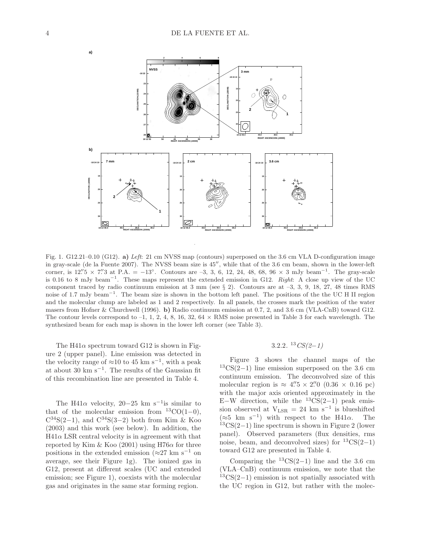

Fig. 1. G12.21–0.10 (G12). a) Left: 21 cm NVSS map (contours) superposed on the 3.6 cm VLA D-configuration image in gray-scale (de la Fuente 2007). The NVSS beam size is 45′′, while that of the 3.6 cm beam, shown in the lower-left corner, is  $12.^{\prime\prime}5 \times 7.^{\prime\prime}3$  at P.A. =  $-13°$ . Contours are  $-3$ , 3, 6, 12, 24, 48, 68, 96 × 3 mJy beam<sup>-1</sup>. The gray-scale is 0.16 to 8 mJy beam<sup>-1</sup>. These maps represent the extended emission in G12. Right: A close up view of the UC component traced by radio continuum emission at 3 mm (see § 2). Contours are at –3, 3, 9, 18, 27, 48 times RMS noise of 1.7 mJy beam<sup>-1</sup>. The beam size is shown in the bottom left panel. The positions of the the UC H II region and the molecular clump are labeled as 1 and 2 respectively. In all panels, the crosses mark the position of the water masers from Hofner & Churchwell (1996). b) Radio continuum emission at 0.7, 2, and 3.6 cm (VLA-CnB) toward G12. The contour levels correspond to  $-1$ , 1, 2, 4, 8, 16, 32, 64  $\times$  RMS noise presented in Table 3 for each wavelength. The synthesized beam for each map is shown in the lower left corner (see Table 3).

The H41 $\alpha$  spectrum toward G12 is shown in Figure 2 (upper panel). Line emission was detected in the velocity range of  $\approx$ 10 to 45 km s<sup>-1</sup>, with a peak at about 30 km s−<sup>1</sup> . The results of the Gaussian fit of this recombination line are presented in Table 4.

The H41 $\alpha$  velocity, 20–25 km s<sup>-1</sup>is similar to that of the molecular emission from  $13CO(1-0)$ ,  $C^{34}S(2-1)$ , and  $C^{34}S(3-2)$  both from Kim & Koo (2003) and this work (see below). In addition, the  $H41\alpha$  LSR central velocity is in agreement with that reported by Kim & Koo (2001) using H76 $\alpha$  for three positions in the extended emission ( $\approx$ 27 km s<sup>-1</sup> on average, see their Figure 1g). The ionized gas in G12, present at different scales (UC and extended emission; see Figure 1), coexists with the molecular gas and originates in the same star forming region.

## 3.2.2*.* <sup>13</sup>*CS(2*−*1)*

Figure 3 shows the channel maps of the  $13CS(2-1)$  line emission superposed on the 3.6 cm continuum emission. The deconvolved size of this molecular region is  $\approx 4.^{\prime\prime}5 \times 2.^{\prime\prime}0$  (0.36  $\times$  0.16 pc) with the major axis oriented approximately in the E–W direction, while the  $13CS(2-1)$  peak emission observed at  $V_{LSR} = 24$  km s<sup>-1</sup> is blueshifted  $(\approx 5 \text{ km s}^{-1})$  with respect to the H41 $\alpha$ . The  $13CS(2-1)$  line spectrum is shown in Figure 2 (lower panel). Observed parameters (flux densities, rms noise, beam, and deconvolved sizes) for  ${}^{13}CS(2-1)$ toward G12 are presented in Table 4.

Comparing the  ${}^{13}CS(2-1)$  line and the 3.6 cm (VLA–CnB) continuum emission, we note that the  $13CS(2-1)$  emission is not spatially associated with the UC region in G12, but rather with the molec-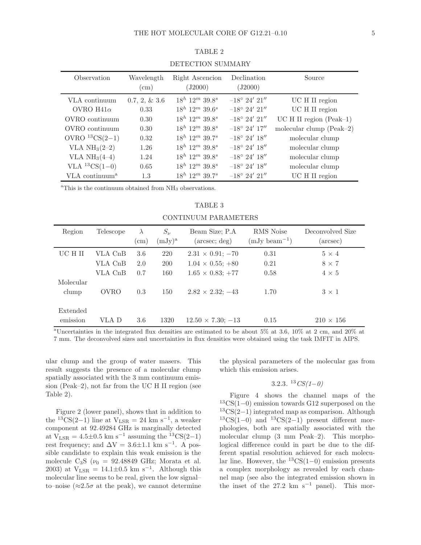| DELECTION SUMMAIG          |                          |                            |                          |                           |  |  |
|----------------------------|--------------------------|----------------------------|--------------------------|---------------------------|--|--|
| Observation                | Wavelength<br>$\rm (cm)$ | Right Ascencion<br>(J2000) | Declination<br>(J2000)   | Source                    |  |  |
| VLA continuum              | $0.7, 2, \& 3.6$         | $18^h$ $12^m$ $39.8^s$     | $-18^{\circ}$ 24' 21"    | UC H II region            |  |  |
| OVRO $H41\alpha$           | 0.33                     | $18^h$ $12^m$ $39.6^s$     | $-18^{\circ}$ 24' 21"    | UC H II region            |  |  |
| OVRO continuum             | 0.30                     | $18^h$ $12^m$ $39.8^s$     | $-18^{\circ}$ 24' 21"    | $UC H II$ region (Peak-1) |  |  |
| OVRO continuum             | 0.30                     | $18^h$ $12^m$ $39.8^s$     | $-18^{\circ}$ 24' $17''$ | molecular clump (Peak-2)  |  |  |
| OVRO ${}^{13}CS(2-1)$      | 0.32                     | $18^h$ $12^m$ $39.7^s$     | $-18^{\circ}$ 24' $18''$ | molecular clump           |  |  |
| VLA $NH3(2-2)$             | 1.26                     | $18^h\ 12^m\ 39.8^s$       | $-18^{\circ}$ 24' 18"    | molecular clump           |  |  |
| VLA $NH3(4-4)$             | 1.24                     | $18^h$ $12^m$ $39.8^s$     | $-18^{\circ}$ 24' 18"    | molecular clump           |  |  |
| VLA ${}^{13}CS(1-0)$       | 0.65                     | $18^h$ $12^m$ $39.8^s$     | $-18^{\circ}$ 24' 18"    | molecular clump           |  |  |
| VLA continuum <sup>a</sup> | 1.3                      | $18^h$ $12^m$ $39.7^s$     | $-18^{\circ}$ 24' 21"    | UC H II region            |  |  |

TABLE 2 DETECTION SUMMARY

 ${}^{\rm a}$ This is the continuum obtained from NH<sub>3</sub> observations.

TABLE 3 CONTINUUM PARAMETERS

| Region               | Telescope | $\lambda$  | $S_{\nu}$ | Beam Size; P.A.               | <b>RMS</b> Noise  | Deconvolved Size |
|----------------------|-----------|------------|-----------|-------------------------------|-------------------|------------------|
|                      |           | $\rm (cm)$ | $(mJy)^a$ | $(\text{arcsec}; \text{deg})$ | $(mJy beam^{-1})$ | (arcsec)         |
| UC H II              | VLA CnB   | 3.6        | 220       | $2.31 \times 0.91$ ; -70      | 0.31              | $5 \times 4$     |
|                      | VLA CnB   | 2.0        | 200       | $1.04 \times 0.55$ ; +80      | 0.21              | $8 \times 7$     |
|                      | VLA CnB   | 0.7        | 160       | $1.65 \times 0.83$ ; +77      | 0.58              | $4 \times 5$     |
| Molecular<br>clump   | OVRO      | 0.3        | 150       | $2.82 \times 2.32$ ; $-43$    | 1.70              | $3 \times 1$     |
| Extended<br>emission | VLA D     | 3.6        | 1320      | $12.50 \times 7.30$ ; $-13$   | 0.15              | $210 \times 156$ |

<sup>a</sup>Uncertainties in the integrated flux densities are estimated to be about 5% at 3.6, 10% at 2 cm, and 20% at 7 mm. The deconvolved sizes and uncertainties in flux densities were obtained using the task IMFIT in AIPS.

ular clump and the group of water masers. This result suggests the presence of a molecular clump spatially associated with the 3 mm continuum emission (Peak–2), not far from the UC H II region (see Table 2).

Figure 2 (lower panel), shows that in addition to the <sup>13</sup>CS(2-1) line at  $V_{LSR} = 24$  km s<sup>-1</sup>, a weaker component at 92.49284 GHz is marginally detected at  $V_{LSR} = 4.5 \pm 0.5$  km s<sup>-1</sup> assuming the <sup>13</sup>CS(2-1) rest frequency; and  $\Delta V = 3.6 \pm 1.1$  km s<sup>-1</sup>. A possible candidate to explain this weak emission is the molecule  $C_3S$  ( $\nu_0$  = 92.48849 GHz; Morata et al. 2003) at  $V_{LSR} = 14.1 \pm 0.5$  km s<sup>-1</sup>. Although this molecular line seems to be real, given the low signal– to–noise ( $\approx 2.5\sigma$  at the peak), we cannot determine

the physical parameters of the molecular gas from which this emission arises.

## 3.2.3*.* <sup>13</sup>*CS(1*−*0)*

Figure 4 shows the channel maps of the <sup>13</sup>CS(1−0) emission towards G12 superposed on the  $13CS(2-1)$  integrated map as comparison. Although  $13CS(1-0)$  and  $13CS(2-1)$  present different morphologies, both are spatially associated with the molecular clump (3 mm Peak–2). This morphological difference could in part be due to the different spatial resolution achieved for each molecular line. However, the  ${}^{13}CS(1-0)$  emission presents a complex morphology as revealed by each channel map (see also the integrated emission shown in the inset of the 27.2 km s<sup>-1</sup> panel). This mor-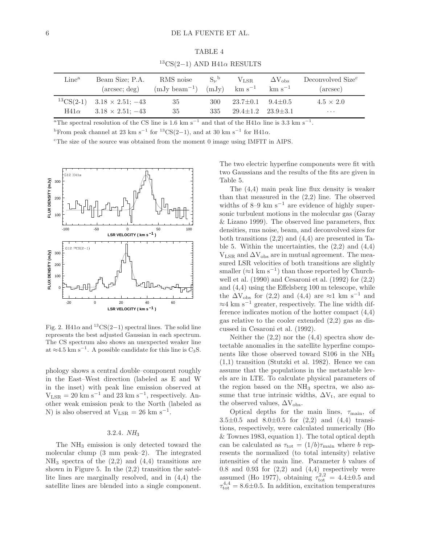| <sup>13</sup> CS(2-1) AND H41 $\alpha$ RESULTS |                                                                           |                                |                              |                                                                            |                      |                                           |  |
|------------------------------------------------|---------------------------------------------------------------------------|--------------------------------|------------------------------|----------------------------------------------------------------------------|----------------------|-------------------------------------------|--|
| $\rm Line^a$                                   | Beam Size; P.A.<br>$(\text{arcsec}; \text{deg})$                          | RMS noise<br>$(mJy beam^{-1})$ | $S_{\nu}{}^{\rm b}$<br>(mJy) | $V_{LSR}$<br>$\mathrm{km} \mathrm{~s}^{-1}$ $\mathrm{km} \mathrm{~s}^{-1}$ | $\Delta V_{\rm obs}$ | Deconvolved Size <sup>c</sup><br>(arcsec) |  |
| $H41\alpha$                                    | ${}^{13}CS(2-1)$ $3.18 \times 2.51$ ; $-43$<br>$3.18 \times 2.51$ ; $-43$ | 35<br>35                       | 300<br>335                   | $23.7 \pm 0.1$<br>$29.4 \pm 1.2$ $23.9 \pm 3.1$                            | $9.4 \pm 0.5$        | $4.5 \times 2.0$<br>$\cdots$              |  |

TABLE 4

<sup>a</sup>The spectral resolution of the CS line is 1.6 km s<sup>-1</sup> and that of the H41 $\alpha$  line is 3.3 km s<sup>-1</sup> .

<sup>b</sup>From peak channel at 23 km s<sup>-1</sup> for <sup>13</sup>CS(2-1), and at 30 km s<sup>-1</sup> for H41 $\alpha$ .

<sup>c</sup>The size of the source was obtained from the moment 0 image using IMFIT in AIPS.



Fig. 2. H41 $\alpha$  and <sup>13</sup>CS(2−1) spectral lines. The solid line represents the best adjusted Gaussian in each spectrum. The CS spectrum also shows an unexpected weaker line at  $\approx$ 4.5 km s<sup>-1</sup>. A possible candidate for this line is C<sub>3</sub>S.

phology shows a central double–component roughly in the East–West direction (labeled as E and W in the inset) with peak line emission observed at  $V_{LSR} = 20$  km s<sup>-1</sup> and 23 km s<sup>-1</sup>, respectively. Another weak emission peak to the North (labeled as N) is also observed at  $V_{LSR} = 26$  km s<sup>-1</sup>.

### 3.2.4*. NH*<sup>3</sup>

The NH<sub>3</sub> emission is only detected toward the molecular clump (3 mm peak–2). The integrated  $NH<sub>3</sub>$  spectra of the  $(2,2)$  and  $(4,4)$  transitions are shown in Figure 5. In the  $(2,2)$  transition the satellite lines are marginally resolved, and in (4,4) the satellite lines are blended into a single component. The two electric hyperfine components were fit with two Gaussians and the results of the fits are given in Table 5.

The (4,4) main peak line flux density is weaker than that measured in the (2,2) line. The observed widths of  $8-9$  km s<sup>-1</sup> are evidence of highly supersonic turbulent motions in the molecular gas (Garay & Lizano 1999). The observed line parameters, flux densities, rms noise, beam, and deconvolved sizes for both transitions  $(2,2)$  and  $(4,4)$  are presented in Table 5. Within the uncertainties, the  $(2,2)$  and  $(4,4)$  $V_{LSR}$  and  $\Delta V_{obs}$  are in mutual agreement. The measured LSR velocities of both transitions are slightly smaller  $(\approx 1 \text{ km s}^{-1})$  than those reported by Churchwell et al.  $(1990)$  and Cesaroni et al.  $(1992)$  for  $(2,2)$ and (4,4) using the Effelsberg 100 m telescope, while the  $\Delta V_{obs}$  for (2,2) and (4,4) are ≈1 km s<sup>-1</sup> and  $≈4 \text{ km s}^{-1}$  greater, respectively. The line width difference indicates motion of the hotter compact (4,4) gas relative to the cooler extended (2,2) gas as discussed in Cesaroni et al. (1992).

Neither the  $(2,2)$  nor the  $(4,4)$  spectra show detectable anomalies in the satellite hyperfine components like those observed toward  $S106$  in the  $NH<sub>3</sub>$ (1,1) transition (Stutzki et al. 1982). Hence we can assume that the populations in the metastable levels are in LTE. To calculate physical parameters of the region based on the  $NH<sub>3</sub>$  spectra, we also assume that true intrinsic widths,  $\Delta V_t$ , are equal to the observed values,  $\Delta V_{\rm obs}$ .

Optical depths for the main lines,  $\tau_{\text{main}}$ , of  $3.5\pm0.5$  and  $8.0\pm0.5$  for  $(2,2)$  and  $(4,4)$  transitions, respectively, were calculated numerically (Ho & Townes 1983, equation 1). The total optical depth can be calculated as  $\tau_{\text{tot}} = (1/b)\tau_{\text{main}}$  where b represents the normalized (to total intensity) relative intensities of the main line. Parameter b values of  $0.8$  and  $0.93$  for  $(2,2)$  and  $(4,4)$  respectively were assumed (Ho 1977), obtaining  $\tau_{\rm tot}^{2,2} = 4.4 \pm 0.5$  and  $\tau_{\text{tot}}^{4,4} = 8.6 \pm 0.5$ . In addition, excitation temperatures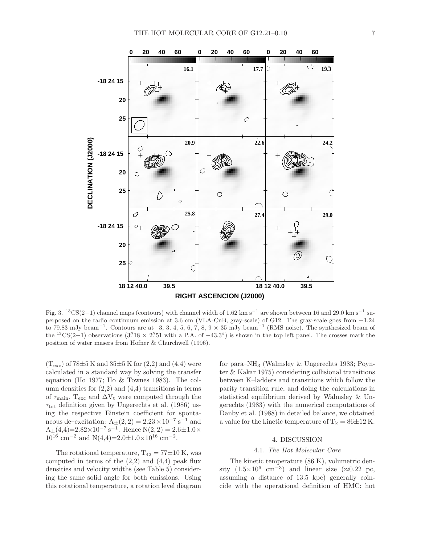

Fig. 3. <sup>13</sup>CS(2–1) channel maps (contours) with channel width of 1.62 km s<sup>-1</sup> are shown between 16 and 29.0 km s<sup>-1</sup> superposed on the radio continuum emission at 3.6 cm (VLA-CnB, gray-scale) of G12. The gray-scale goes from −1.24 to 79.83 mJy beam<sup>-1</sup>. Contours are at -3, 3, 4, 5, 6, 7, 8, 9 × 35 mJy beam<sup>-1</sup> (RMS noise). The synthesized beam of the <sup>13</sup>CS(2-1) observations (3.<sup>''</sup>18 × 2.<sup>''</sup>51 with a P.A. of -43.3°) is shown in the top left panel. The crosses mark the position of water masers from Hofner & Churchwell (1996).

 $(T_{\rm exc})$  of 78 $\pm$ 5 K and 35 $\pm$ 5 K for (2,2) and (4,4) were calculated in a standard way by solving the transfer equation (Ho 1977; Ho & Townes 1983). The column densities for  $(2,2)$  and  $(4,4)$  transitions in terms of  $\tau_{\text{main}}$ , T<sub>exc</sub> and  $\Delta V_t$  were computed through the  $\tau_{\text{tot}}$  definition given by Ungerechts et al. (1986) using the respective Einstein coefficient for spontaneous de–excitation:  $A_{\pm}(2, 2) = 2.23 \times 10^{-7} \text{ s}^{-1}$  and  $A_{\pm}(4,4)=2.82\times10^{-7} \text{ s}^{-1}$ . Hence  $N(2,2)=2.6\pm1.0\times$  $10^{16}$  cm<sup>-2</sup> and N(4,4)=2.0±1.0×10<sup>16</sup> cm<sup>-2</sup>.

The rotational temperature,  $T_{42} = 77 \pm 10$  K, was computed in terms of the  $(2,2)$  and  $(4,4)$  peak flux densities and velocity widths (see Table 5) considering the same solid angle for both emissions. Using this rotational temperature, a rotation level diagram for para–NH<sup>3</sup> (Walmsley & Ungerechts 1983; Poynter & Kakar 1975) considering collisional transitions between K–ladders and transitions which follow the parity transition rule, and doing the calculations in statistical equilibrium derived by Walmsley & Ungerechts (1983) with the numerical computations of Danby et al. (1988) in detailed balance, we obtained a value for the kinetic temperature of  $T_k = 86 \pm 12$  K.

### 4. DISCUSSION

### 4.1*. The Hot Molecular Core*

The kinetic temperature (86 K), volumetric density  $(1.5 \times 10^6 \text{ cm}^{-3})$  and linear size (≈0.22 pc, assuming a distance of 13.5 kpc) generally coincide with the operational definition of HMC: hot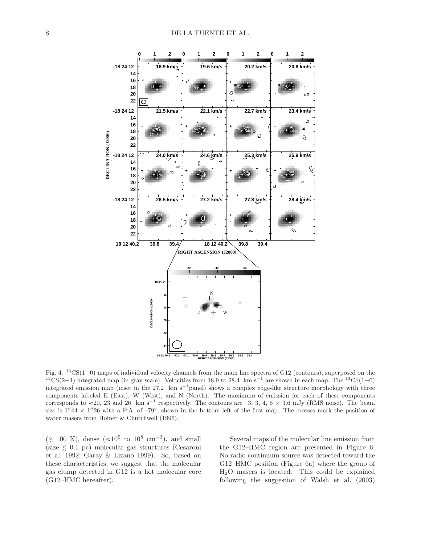

Fig. 4. <sup>13</sup>CS(1−0) maps of individual velocity channels from the main line spectra of G12 (contours), superposed on the  $13\text{CS}(2-1)$  integrated map (in gray scale). Velocities from 18.9 to 28.4 km s<sup>-1</sup> are shown in each map. The  $13\text{CS}(1-0)$ integrated emission map (inset in the 27.2 km s<sup>-1</sup>panel) shows a complex edge-like structure morphology with three components labeled E (East), W (West), and N (North). The maximum of emission for each of these components corresponds to  $\approx$ 20, 23 and 26 km s<sup>-1</sup> respectively. The contours are -3, 3, 4, 5 × 3.6 mJy (RMS noise). The beam size is  $1.^{\prime\prime}44 \times 1.^{\prime\prime}26$  with a P.A. of  $-79^{\circ}$ , shown in the bottom left of the first map. The crosses mark the position of water masers from Hofner & Churchwell (1996).

( $\gtrsim$  100 K), dense (≈10<sup>5</sup> to 10<sup>8</sup> cm<sup>-3</sup>), and small (size ∼ < 0.1 pc) molecular gas structures (Cesaroni et al. 1992; Garay & Lizano 1999). So, based on these characteristics, we suggest that the molecular gas clump detected in G12 is a hot molecular core (G12–HMC hereafter).

Several maps of the molecular line emission from the G12–HMC region are presented in Figure 6. No radio continuum source was detected toward the G12–HMC position (Figure 6a) where the group of H2O masers is located. This could be explained following the suggestion of Walsh et al. (2003)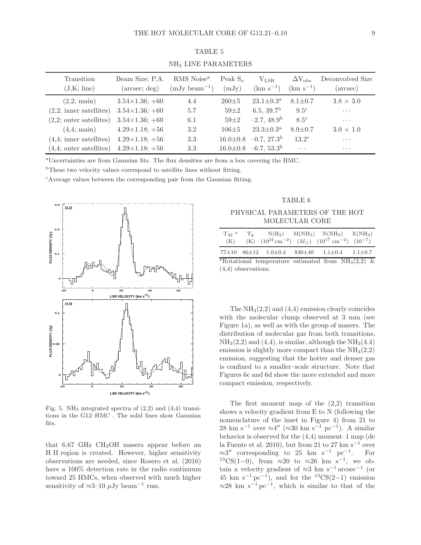| Transition<br>(J,K; line) | Beam Size; P.A.<br>$(\text{arcsec}; \text{deg})$ | RMS Noise <sup>a</sup><br>$(mJy beam^{-1})$ | Peak $S_{\nu}$<br>(mJy) | $V_{LSR}$<br>$(km s^{-1})$             | $\Delta V_{\rm obs}$<br>$(km s^{-1})$ | Deconvolved Size<br>(arcsec) |
|---------------------------|--------------------------------------------------|---------------------------------------------|-------------------------|----------------------------------------|---------------------------------------|------------------------------|
| $(2,2; \text{main})$      | $3.54\times1.36$ ; +60                           | 4.4                                         | $260 \pm 5$             | $23.1 \pm 0.3^{\rm a}$                 | $8.1 \pm 0.7$                         | $3.8 \times 3.0$             |
| $(2,2;$ inner satellites) | $3.54 \times 1.36$ ; +60                         | 5.7                                         | $59 + 2$                | 6.5, 39.7 <sup>b</sup>                 | $9.5^{\circ}$                         | $\cdots$                     |
| $(2,2;$ outer satellites) | $3.54 \times 1.36$ ; +60                         | 6.1                                         | $59 + 2$                | $-2.7, 48.9b$                          | 8.5 <sup>c</sup>                      | .                            |
| $(4.4; \text{main})$      | $4.29 \times 1.18$ ; +56                         | 3.2                                         | $106 + 5$               | $23.3 \pm 0.3^{\rm a}$                 | $8.9 \pm 0.7$                         | $3.0 \times 1.0$             |
| $(4,4;$ inner satellites) | $4.29 \times 1.18$ ; +56                         | 3.3                                         | $16.0 \pm 0.8$          | $-0.7, 27.3^{\rm b}$                   | $13.2^{\circ}$                        | $\cdots$                     |
| $(4,4;$ outer satellites) | $4.29 \times 1.18$ ; +56                         | 3.3                                         |                         | $16.0 \pm 0.8$ -6.7, 53.3 <sup>b</sup> | $\cdots$                              | $\cdots$                     |

TABLE 5 NH<sup>3</sup> LINE PARAMETERS

<sup>a</sup>Uncertainties are from Gaussian fits. The flux densities are from a box covering the HMC.

 $b$ These two velocity values correspond to satellite lines without fitting.

<sup>c</sup>Average values between the corresponding pair from the Gaussian fitting.



Fig. 5. NH<sub>3</sub> integrated spectra of  $(2,2)$  and  $(4,4)$  transitions in the G12–HMC . The solid lines show Gaussian fits.

that 6.67 GHz  $CH<sub>3</sub>OH$  masers appear before an H II region is created. However, higher sensitivity observations are needed, since Rosero et al. (2016) have a 100% detection rate in the radio continuum toward 25 HMCs, when observed with much higher sensitivity of  $\approx$ 3–10  $\mu$ Jy beam<sup>-1</sup> rms.

## TABLE 6

### PHYSICAL PARAMETERS OF THE HOT MOLECULAR CORE

| $T_{42}$ <sup>a</sup><br>(K) | $T_{\mathbf{k}}$ |  | $N(H_2)$ $M(NH_3)$ $N(NH_3)$ $X(NH_3)$<br>(K) $(10^{24} \text{ cm}^{-2})$ $(M_{\odot})$ $(10^{17} \text{ cm}^{-2})$ $(10^{-7})$ |  |
|------------------------------|------------------|--|---------------------------------------------------------------------------------------------------------------------------------|--|
|                              |                  |  | 77 $\pm$ 10 86 $\pm$ 12 1.0 $\pm$ 0.4 830 $\pm$ 40 1.1 $\pm$ 0.4 1.1 $\pm$ 0.7                                                  |  |
|                              |                  |  | <sup>a</sup> Rotational temperature estimated from $NH3(2,2)$ &                                                                 |  |
| $(4,4)$ observations.        |                  |  |                                                                                                                                 |  |

The  $NH<sub>3</sub>(2,2)$  and  $(4,4)$  emission clearly coincides with the molecular clump observed at 3 mm (see Figure 1a), as well as with the group of masers. The distribution of molecular gas from both transitions,  $NH<sub>3</sub>(2,2)$  and  $(4,4)$ , is similar, although the  $NH<sub>3</sub>(4,4)$ emission is slightly more compact than the  $NH<sub>3</sub>(2,2)$ emission, suggesting that the hotter and denser gas is confined to a smaller–scale structure. Note that Figures 6c and 6d show the more extended and more compact emission, respectively.

The first moment map of the  $(2,2)$  transition shows a velocity gradient from E to N (following the nomenclature of the inset in Figure 4) from 21 to  $28 \text{ km s}^{-1}$  over  $\approx 4''$  ( $\approx 30 \text{ km s}^{-1} \text{ pc}^{-1}$ ). A similar behavior is observed for the (4,4) moment–1 map (de la Fuente et al. 2010), but from 21 to 27 km s<sup> $-1$ </sup> over  $\approx 3''$  corresponding to 25 km s<sup>-1</sup> pc<sup>-1</sup>. For  ${}^{13}CS(1-0)$ , from  $\approx 20$  to  $\approx 26$  km s<sup>-1</sup>, we obtain a velocity gradient of  $\approx 3$  km s<sup>-1</sup> arcsec<sup>-1</sup> (or  $45 \text{ km s}^{-1}\text{ pc}^{-1}$ , and for the  $^{13}\text{CS}(2-1)$  emission  $\approx$ 28 km s<sup>-1</sup> pc<sup>-1</sup>, which is similar to that of the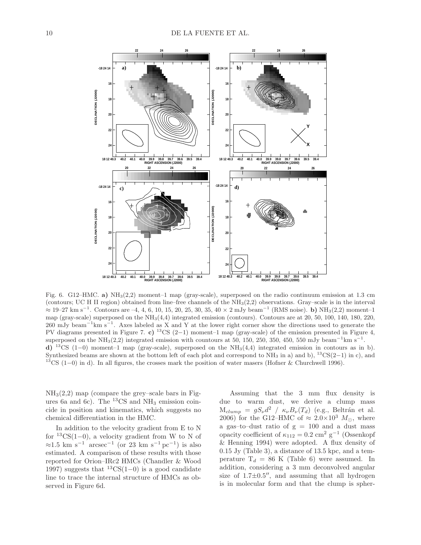

Fig. 6. G12–HMC. a) NH3(2,2) moment–1 map (gray-scale), superposed on the radio continuum emission at 1.3 cm (contours; UC H II region) obtained from line–free channels of the  $NH<sub>3</sub>(2,2)$  observations. Gray–scale is in the interval  $\approx 19-27$  km s<sup>-1</sup>. Contours are -4, 4, 6, 10, 15, 20, 25, 30, 35, 40 × 2 mJy beam<sup>-1</sup> (RMS noise). b) NH<sub>3</sub>(2,2) moment-1 map (gray-scale) superposed on the  $NH<sub>3</sub>(4,4)$  integrated emission (contours). Contours are at 20, 50, 100, 140, 180, 220, 260 mJy beam<sup>-1</sup> km s<sup>-1</sup>. Axes labeled as X and Y at the lower right corner show the directions used to generate the PV diagrams presented in Figure 7. c) <sup>13</sup>CS (2–1) moment–1 map (gray-scale) of the emission presented in Figure 4, superposed on the NH<sub>3</sub>(2,2) integrated emission with countours at 50, 150, 250, 350, 450, 550 mJy beam<sup>-1</sup>km s<sup>-1</sup>. d) <sup>13</sup>CS (1−0) moment–1 map (gray-scale), superposed on the NH3(4,4) integrated emission in contours as in b). Synthesized beams are shown at the bottom left of each plot and correspond to  $NH_3$  in a) and b),  $13CS(2-1)$  in c), and <sup>13</sup>CS (1–0) in d). In all figures, the crosses mark the position of water masers (Hofner & Churchwell 1996).

 $NH<sub>3</sub>(2,2)$  map (compare the grey–scale bars in Figures 6a and 6c). The  $^{13}$ CS and NH<sub>3</sub> emission coincide in position and kinematics, which suggests no chemical differentiation in the HMC.

In addition to the velocity gradient from E to N for  ${}^{13}CS(1-0)$ , a velocity gradient from W to N of  $\approx$ 1.5 km s<sup>-1</sup> arcsec<sup>-1</sup> (or 23 km s<sup>-1</sup> pc<sup>-1</sup>) is also estimated. A comparison of these results with those reported for Orion–IRc2 HMCs (Chandler & Wood 1997) suggests that  ${}^{13}CS(1-0)$  is a good candidate line to trace the internal structure of HMCs as observed in Figure 6d.

Assuming that the 3 mm flux density is due to warm dust, we derive a clump mass  $M_{clump} = gS_{\nu}d^2 / \kappa_{\nu}B_{\nu}(T_d)$  (e.g., Beltrán et al. 2006) for the G12–HMC of  $\approx 2.0\times10^3$   $M_{\odot}$ , where a gas–to–dust ratio of  $g = 100$  and a dust mass opacity coefficient of  $\kappa_{112} = 0.2$  cm<sup>2</sup> g<sup>-1</sup> (Ossenkopf & Henning 1994) were adopted. A flux density of 0.15 Jy (Table 3), a distance of 13.5 kpc, and a temperature  $T_d = 86$  K (Table 6) were assumed. In addition, considering a 3 mm deconvolved angular size of  $1.7\pm0.5$ <sup>"</sup>, and assuming that all hydrogen is in molecular form and that the clump is spher-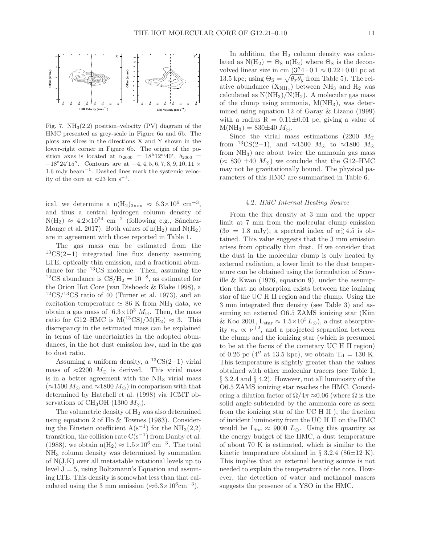

Fig. 7.  $NH<sub>3</sub>(2,2)$  position–velocity (PV) diagram of the HMC presented as grey-scale in Figure 6a and 6b. The plots are slices in the directions X and Y shown in the lower-right corner in Figure 6b. The origin of the position axes is located at  $\alpha_{2000} = 18^{\mathrm{h}} 12^{\mathrm{m}} 40^{\mathrm{s}}$ ,  $\delta_{2000} =$  $-18°24'15''$ . Contours are at  $-4, 4, 5, 6, 7, 8, 9, 10, 11 \times$ 1.6 mJy beam<sup>−</sup><sup>1</sup> . Dashed lines mark the systemic velocity of the core at  $\approx 23$  km s<sup>-1</sup>.

ical, we determine a  $n(H_2)_{3mm} \approx 6.3 \times 10^6$  cm<sup>-3</sup>, and thus a central hydrogen column density of  $N(H_2) \approx 4.2 \times 10^{24}$  cm<sup>-2</sup> (following e.g., Sánchez-Monge et al. 2017). Both values of  $n(H_2)$  and  $N(H_2)$ are in agreement with those reported in Table 1.

The gas mass can be estimated from the <sup>13</sup>CS(2−1) integrated line flux density assuming LTE, optically thin emission, and a fractional abundance for the <sup>13</sup>CS molecule. Then, assuming the <sup>12</sup>CS abundance is  $\text{CS}/\text{H}_2 = 10^{-8}$ , as estimated for the Orion Hot Core (van Dishoeck & Blake 1998), a  $12\text{CS}/13\text{CS}$  ratio of 40 (Turner et al. 1973), and an excitation temperature  $\simeq 86$  K from NH<sub>3</sub> data, we obtain a gas mass of  $6.3\times10^3$  M<sub>☉</sub>. Then, the mass ratio for G12–HMC is  $M(^{13}CS)/M(H_2) \approx 3$ . This discrepancy in the estimated mass can be explained in terms of the uncertainties in the adopted abundances, in the hot dust emission law, and in the gas to dust ratio.

Assuming a uniform density, a  ${}^{13}CS(2-1)$  virial mass of  $\approx 2200$   $M_{\odot}$  is derived. This virial mass is in a better agreement with the  $NH<sub>3</sub>$  virial mass  $(\approx 1500 M_{\odot}$  and  $\approx 1800 M_{\odot})$  in comparison with that determined by Hatchell et al. (1998) via JCMT observations of CH<sub>3</sub>OH (1300  $M_{\odot}$ ).

The volumetric density of  $H_2$  was also determined using equation 2 of Ho & Townes (1983). Considering the Einstein coefficient  $A(s^{-1})$  for the  $NH<sub>3</sub>(2,2)$ transition, the collision rate  $C(s^{-1})$  from Danby et al. (1988), we obtain  $n(H_2) \approx 1.5 \times 10^6$  cm<sup>-3</sup>. The total NH<sup>3</sup> column density was determined by summation of N(J,K) over all metastable rotational levels up to level  $J = 5$ , using Boltzmann's Equation and assuming LTE. This density is somewhat less than that calculated using the 3 mm emission  $(\approx 6.3 \times 10^6 \text{cm}^{-3})$ .

In addition, the  $H_2$  column density was calculated as  $N(H_2) = \Theta_S n(H_2)$  where  $\Theta_S$  is the deconvolved linear size in cm  $(3''4\pm0.1 \approx 0.22\pm0.01 \text{ pc at}$ 13.5 kpc; using  $\Theta_{\rm S} = \sqrt{\theta_x \theta_y}$  from Table 5). The relative abundance  $(X_{NH_3})$  between NH<sub>3</sub> and H<sub>2</sub> was calculated as  $N(NH_3)/N(H_2)$ . A molecular gas mass of the clump using ammonia,  $M(NH_3)$ , was determined using equation 12 of Garay & Lizano (1999) with a radius  $R = 0.11 \pm 0.01$  pc, giving a value of  $M(NH_3) = 830 \pm 40 M_{\odot}$ .

Since the virial mass estimations (2200  $M_{\odot}$ ) from <sup>13</sup>CS(2−1), and ≈1500  $M_{\odot}$  to ≈1800  $M_{\odot}$ from NH3) are about twice the ammonia gas mass  $(\approx 830 \pm 40$   $M_{\odot})$  we conclude that the G12–HMC may not be gravitationally bound. The physical parameters of this HMC are summarized in Table 6.

#### 4.2*. HMC Internal Heating Source*

From the flux density at 3 mm and the upper limit at 7 mm from the molecular clump emission  $(3\sigma = 1.8 \text{ mJy})$ , a spectral index of  $\alpha \ge 4.5$  is obtained. This value suggests that the 3 mm emission arises from optically thin dust. If we consider that the dust in the molecular clump is only heated by external radiation, a lower limit to the dust temperature can be obtained using the formulation of Scoville & Kwan (1976, equation 9), under the assumption that no absorption exists between the ionizing star of the UC H II region and the clump. Using the 3 mm integrated flux density (see Table 3) and assuming an external O6.5 ZAMS ionizing star (Kim & Koo 2001,  $L_{star} \approx 1.5 \times 10^5 L_{\odot}$ , a dust absorptivity  $\kappa_{\nu} \propto \nu^{+2}$ , and a projected separation between the clump and the ionizing star (which is presumed to be at the focus of the cometary UC H II region) of 0.26 pc (4'' at 13.5 kpc), we obtain  $T_d = 130$  K. This temperature is slightly greater than the values obtained with other molecular tracers (see Table 1, § 3.2.4 and § 4.2). However, not all luminosity of the O6.5 ZAMS ionizing star reaches the HMC. Considering a dilution factor of  $\Omega/4\pi \approx 0.06$  (where  $\Omega$  is the solid angle subtended by the ammonia core as seen from the ionizing star of the UC H II ), the fraction of incident luminosity from the UC H II on the HMC would be  $L_{inc} \approx 9000 L_{\odot}$ . Using this quantity as the energy budget of the HMC, a dust temperature of about 70 K is estimated, which is similar to the kinetic temperature obtained in  $\S$  3.2.4 (86 $\pm$ 12 K). This implies that an external heating source is not needed to explain the temperature of the core. However, the detection of water and methanol masers suggests the presence of a YSO in the HMC.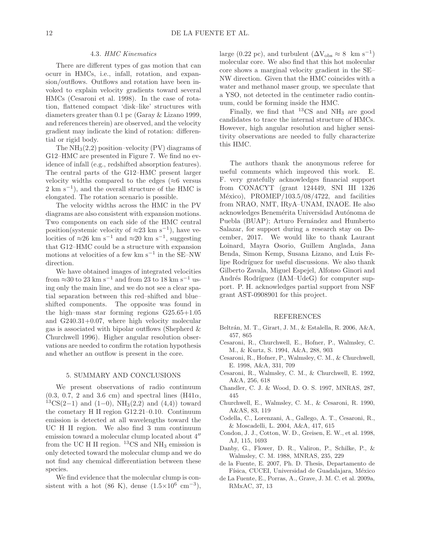#### 4.3*. HMC Kinematics*

There are different types of gas motion that can ocurr in HMCs, i.e., infall, rotation, and expansion/outflows. Outflows and rotation have been invoked to explain velocity gradients toward several HMCs (Cesaroni et al. 1998). In the case of rotation, flattened compact 'disk–like' structures with diameters greater than 0.1 pc (Garay & Lizano 1999, and references therein) are observed, and the velocity gradient may indicate the kind of rotation: differential or rigid body.

The  $NH<sub>3</sub>(2,2)$  position–velocity (PV) diagrams of G12–HMC are presented in Figure 7. We find no evidence of infall (e.g., redshifted absorption features). The central parts of the G12–HMC present larger velocity widths compared to the edges ( $\approx$ 6 versus 2 km s<sup>-1</sup>), and the overall structure of the HMC is elongated. The rotation scenario is possible.

The velocity widths across the HMC in the PV diagrams are also consistent with expansion motions. Two components on each side of the HMC central position(systemic velocity of  $\approx 23$  km s<sup>-1</sup>), have velocities of  $\approx 26$  km s<sup>-1</sup> and  $\approx 20$  km s<sup>-1</sup>, suggesting that G12–HMC could be a structure with expansion motions at velocities of a few km  $\rm s^{-1}$  in the <code>SE–NW</code> direction.

We have obtained images of integrated velocities from  ${\approx}30$  to  $23~{\rm km~s^{-1}}$  and from  $23$  to  $18~{\rm km~s^{-1}}$  using only the main line, and we do not see a clear spatial separation between this red–shifted and blue– shifted components. The opposite was found in the high–mass star forming regions G25.65+1.05 and G240.31+0.07, where high velocity molecular gas is associated with bipolar outflows (Shepherd  $\&$ Churchwell 1996). Higher angular resolution observations are needed to confirm the rotation hypothesis and whether an outflow is present in the core.

### 5. SUMMARY AND CONCLUSIONS

We present observations of radio continuum  $(0.3, 0.7, 2 \text{ and } 3.6 \text{ cm})$  and spectral lines  $(H41\alpha,$  ${}^{13}CS(2-1)$  and  $(1-0)$ , NH<sub>3</sub> $(2,2)$  and  $(4,4)$ ) toward the cometary H II region G12.21–0.10. Continuum emission is detected at all wavelengths toward the UC H II region. We also find 3 mm continuum emission toward a molecular clump located about 4′′ from the UC H II region.  ${}^{13}CS$  and NH<sub>3</sub> emission is only detected toward the molecular clump and we do not find any chemical differentiation between these species.

We find evidence that the molecular clump is consistent with a hot  $(86 \text{ K})$ , dense  $(1.5 \times 10^6 \text{ cm}^{-3})$ ,

large (0.22 pc), and turbulent  $(\Delta V_{obs} \approx 8 \text{ km s}^{-1})$ molecular core. We also find that this hot molecular core shows a marginal velocity gradient in the SE– NW direction. Given that the HMC coincides with a water and methanol maser group, we speculate that a YSO, not detected in the centimeter radio continuum, could be forming inside the HMC.

Finally, we find that  ${}^{13}CS$  and  $NH_3$  are good candidates to trace the internal structure of HMCs. However, high angular resolution and higher sensitivity observations are needed to fully characterize this HMC.

The authors thank the anonymous referee for useful comments which improved this work. E. F. very gratefully acknowledges financial support from CONACYT (grant 124449, SNI III 1326 México), PROMEP/103.5/08/4722, and facilities from NRAO, NMT, IRyA–UNAM, INAOE. He also acknowledges Benemérita Universidad Autónoma de Puebla (BUAP); Arturo Fernández and Humberto Salazar, for support during a research stay on December, 2017. We would like to thank Laurant Loinard, Mayra Osorio, Guillem Anglada, Jana Benda, Simon Kemp, Susana Lizano, and Luis Felipe Rodríguez for useful discussions. We also thank Gilberto Zavala, Miguel Espejel, Alfonso Ginori and Andrés Rodríguez (IAM–UdeG) for computer support. P. H. acknowledges partial support from NSF grant AST-0908901 for this project.

#### REFERENCES

- Beltrán, M. T., Girart, J. M., & Estalella, R. 2006, A&A, 457, 865
- Cesaroni, R., Churchwell, E., Hofner, P., Walmsley, C. M., & Kurtz, S. 1994, A&A, 288, 903
- Cesaroni, R., Hofner, P., Walmsley, C. M., & Churchwell, E. 1998, A&A, 331, 709
- Cesaroni, R., Walmsley, C. M., & Churchwell, E. 1992, A&A, 256, 618
- Chandler, C. J. & Wood, D. O. S. 1997, MNRAS, 287, 445
- Churchwell, E., Walmsley, C. M., & Cesaroni, R. 1990, A&AS, 83, 119
- Codella, C., Lorenzani, A., Gallego, A. T., Cesaroni, R., & Moscadelli, L. 2004, A&A, 417, 615
- Condon, J. J., Cotton, W. D., Greisen, E. W., et al. 1998, AJ, 115, 1693
- Danby, G., Flower, D. R., Valiron, P., Schilke, P., & Walmsley, C. M. 1988, MNRAS, 235, 229
- de la Fuente, E. 2007, Ph. D. Thesis, Departamento de Física, CUCEI, Universidad de Guadalajara, México
- de La Fuente, E., Porras, A., Grave, J. M. C. et al. 2009a, RMxAC, 37, 13